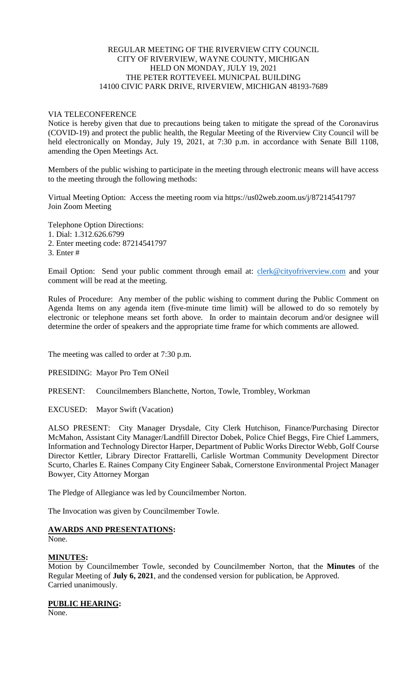# REGULAR MEETING OF THE RIVERVIEW CITY COUNCIL CITY OF RIVERVIEW, WAYNE COUNTY, MICHIGAN HELD ON MONDAY, JULY 19, 2021 THE PETER ROTTEVEEL MUNICPAL BUILDING 14100 CIVIC PARK DRIVE, RIVERVIEW, MICHIGAN 48193-7689

# VIA TELECONFERENCE

Notice is hereby given that due to precautions being taken to mitigate the spread of the Coronavirus (COVID-19) and protect the public health, the Regular Meeting of the Riverview City Council will be held electronically on Monday, July 19, 2021, at 7:30 p.m. in accordance with Senate Bill 1108, amending the Open Meetings Act.

Members of the public wishing to participate in the meeting through electronic means will have access to the meeting through the following methods:

Virtual Meeting Option: Access the meeting room via https://us02web.zoom.us/j/87214541797 Join Zoom Meeting

Telephone Option Directions:

1. Dial: 1.312.626.6799

2. Enter meeting code: 87214541797

3. Enter #

Email Option: Send your public comment through email at: [clerk@cityofriverview.com](mailto:clerk@cityofriverview.com) and your comment will be read at the meeting.

Rules of Procedure: Any member of the public wishing to comment during the Public Comment on Agenda Items on any agenda item (five-minute time limit) will be allowed to do so remotely by electronic or telephone means set forth above. In order to maintain decorum and/or designee will determine the order of speakers and the appropriate time frame for which comments are allowed.

The meeting was called to order at 7:30 p.m.

PRESIDING: Mayor Pro Tem ONeil

PRESENT: Councilmembers Blanchette, Norton, Towle, Trombley, Workman

EXCUSED: Mayor Swift (Vacation)

ALSO PRESENT: City Manager Drysdale, City Clerk Hutchison, Finance/Purchasing Director McMahon, Assistant City Manager/Landfill Director Dobek, Police Chief Beggs, Fire Chief Lammers, Information and Technology Director Harper, Department of Public Works Director Webb, Golf Course Director Kettler, Library Director Frattarelli, Carlisle Wortman Community Development Director Scurto, Charles E. Raines Company City Engineer Sabak, Cornerstone Environmental Project Manager Bowyer, City Attorney Morgan

The Pledge of Allegiance was led by Councilmember Norton.

The Invocation was given by Councilmember Towle.

# **AWARDS AND PRESENTATIONS:**

None.

# **MINUTES:**

Motion by Councilmember Towle, seconded by Councilmember Norton, that the **Minutes** of the Regular Meeting of **July 6, 2021**, and the condensed version for publication, be Approved. Carried unanimously.

### **PUBLIC HEARING:**

None.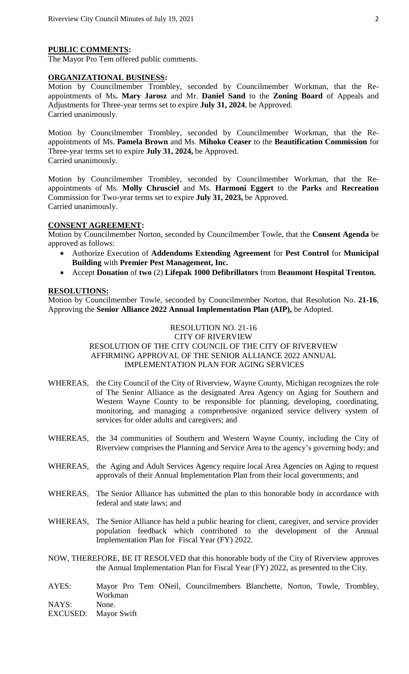### **PUBLIC COMMENTS:**

The Mayor Pro Tem offered public comments.

### **ORGANIZATIONAL BUSINESS:**

Motion by Councilmember Trombley, seconded by Councilmember Workman, that the Reappointments of Ms**. Mary Jarosz** and Mr. **Daniel Sand** to the **Zoning Board** of Appeals and Adjustments for Three-year terms set to expire **July 31, 2024**, be Approved. Carried unanimously.

Motion by Councilmember Trombley, seconded by Councilmember Workman, that the Reappointments of Ms. **Pamela Brown** and Ms. **Mihoko Ceaser** to the **Beautification Commission** for Three-year terms set to expire **July 31, 2024,** be Approved. Carried unanimously.

Motion by Councilmember Trombley, seconded by Councilmember Workman, that the Reappointments of Ms. **Molly Chrusciel** and Ms. **Harmoni Eggert** to the **Parks** and **Recreation** Commission for Two-year terms set to expire **July 31, 2023,** be Approved. Carried unanimously.

#### **CONSENT AGREEMENT:**

Motion by Councilmember Norton, seconded by Councilmember Towle, that the **Consent Agenda** be approved as follows:

- Authorize Execution of **Addendums Extending Agreement** for **Pest Control** for **Municipal Building** with **Premier Pest Management, Inc.**
- Accept **Donation** of **two** (2) **Lifepak 1000 Defibrillators** from **Beaumont Hospital Trenton.**

#### **RESOLUTIONS:**

EXCUSED: Mayor Swift

Motion by Councilmember Towle, seconded by Councilmember Norton, that Resolution No. **21-16**, Approving the **Senior Alliance 2022 Annual Implementation Plan (AIP),** be Adopted.

# RESOLUTION NO. 21-16 CITY OF RIVERVIEW RESOLUTION OF THE CITY COUNCIL OF THE CITY OF RIVERVIEW AFFIRMING APPROVAL OF THE SENIOR ALLIANCE 2022 ANNUAL IMPLEMENTATION PLAN FOR AGING SERVICES

- WHEREAS, the City Council of the City of Riverview, Wayne County, Michigan recognizes the role of The Senior Alliance as the designated Area Agency on Aging for Southern and Western Wayne County to be responsible for planning, developing, coordinating, monitoring, and managing a comprehensive organized service delivery system of services for older adults and caregivers; and
- WHEREAS, the 34 communities of Southern and Western Wayne County, including the City of Riverview comprises the Planning and Service Area to the agency's governing body; and
- WHEREAS, the Aging and Adult Services Agency require local Area Agencies on Aging to request approvals of their Annual Implementation Plan from their local governments; and
- WHEREAS, The Senior Alliance has submitted the plan to this honorable body in accordance with federal and state laws; and
- WHEREAS, The Senior Alliance has held a public hearing for client, caregiver, and service provider population feedback which contributed to the development of the Annual Implementation Plan for Fiscal Year (FY) 2022.
- NOW, THEREFORE, BE IT RESOLVED that this honorable body of the City of Riverview approves the Annual Implementation Plan for Fiscal Year (FY) 2022, as presented to the City.
- AYES: Mayor Pro Tem ONeil, Councilmembers Blanchette, Norton, Towle, Trombley, Workman NAYS: None.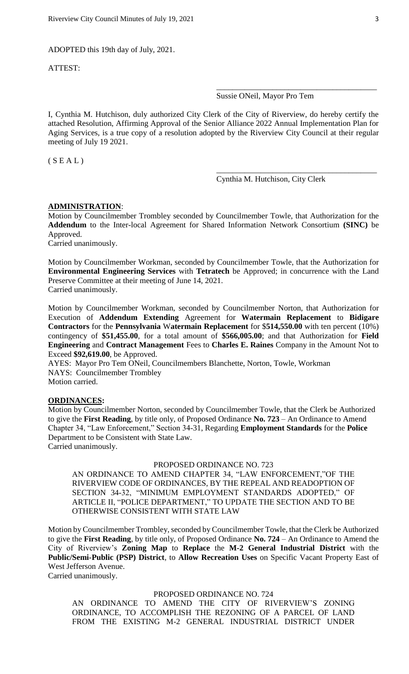ADOPTED this 19th day of July, 2021.

ATTEST:

Sussie ONeil, Mayor Pro Tem

\_\_\_\_\_\_\_\_\_\_\_\_\_\_\_\_\_\_\_\_\_\_\_\_\_\_\_\_\_\_\_\_\_\_\_\_\_\_\_\_

\_\_\_\_\_\_\_\_\_\_\_\_\_\_\_\_\_\_\_\_\_\_\_\_\_\_\_\_\_\_\_\_\_\_\_\_\_\_\_\_

I, Cynthia M. Hutchison, duly authorized City Clerk of the City of Riverview, do hereby certify the attached Resolution, Affirming Approval of the Senior Alliance 2022 Annual Implementation Plan for Aging Services, is a true copy of a resolution adopted by the Riverview City Council at their regular meeting of July 19 2021.

 $(S E A L)$ 

Cynthia M. Hutchison, City Clerk

#### **ADMINISTRATION**:

Motion by Councilmember Trombley seconded by Councilmember Towle, that Authorization for the **Addendum** to the Inter-local Agreement for Shared Information Network Consortium **(SINC)** be Approved.

Carried unanimously.

Motion by Councilmember Workman, seconded by Councilmember Towle, that the Authorization for **Environmental Engineering Services** with **Tetratech** be Approved; in concurrence with the Land Preserve Committee at their meeting of June 14, 2021. Carried unanimously.

Motion by Councilmember Workman, seconded by Councilmember Norton, that Authorization for Execution of **Addendum Extending** Agreement for **Watermain Replacement** to **Bidigare Contractors** for the **Pennsylvania** W**atermain Replacement** for \$**514,550.00** with ten percent (10%) contingency of **\$51,455.00**, for a total amount of **\$566,005.00**; and that Authorization for **Field Engineering** and **Contract Management** Fees to **Charles E. Raines** Company in the Amount Not to Exceed **\$92,619.00**, be Approved.

AYES: Mayor Pro Tem ONeil, Councilmembers Blanchette, Norton, Towle, Workman NAYS: Councilmember Trombley Motion carried.

## **ORDINANCES:**

Motion by Councilmember Norton, seconded by Councilmember Towle, that the Clerk be Authorized to give the **First Reading**, by title only, of Proposed Ordinance **No. 723** – An Ordinance to Amend Chapter 34, "Law Enforcement," Section 34-31, Regarding **Employment Standards** for the **Police**  Department to be Consistent with State Law. Carried unanimously.

### PROPOSED ORDINANCE NO. 723

AN ORDINANCE TO AMEND CHAPTER 34, "LAW ENFORCEMENT,"OF THE RIVERVIEW CODE OF ORDINANCES, BY THE REPEAL AND READOPTION OF SECTION 34-32, "MINIMUM EMPLOYMENT STANDARDS ADOPTED," OF ARTICLE II, "POLICE DEPARTMENT," TO UPDATE THE SECTION AND TO BE OTHERWISE CONSISTENT WITH STATE LAW

Motion by Councilmember Trombley, seconded by Councilmember Towle, that the Clerk be Authorized to give the **First Reading**, by title only, of Proposed Ordinance **No. 724** – An Ordinance to Amend the City of Riverview's **Zoning Map** to **Replace** the **M-2 General Industrial District** with the **Public/Semi-Public (PSP) District**, to **Allow Recreation Uses** on Specific Vacant Property East of West Jefferson Avenue.

Carried unanimously.

# PROPOSED ORDINANCE NO. 724

AN ORDINANCE TO AMEND THE CITY OF RIVERVIEW'S ZONING ORDINANCE, TO ACCOMPLISH THE REZONING OF A PARCEL OF LAND FROM THE EXISTING M-2 GENERAL INDUSTRIAL DISTRICT UNDER